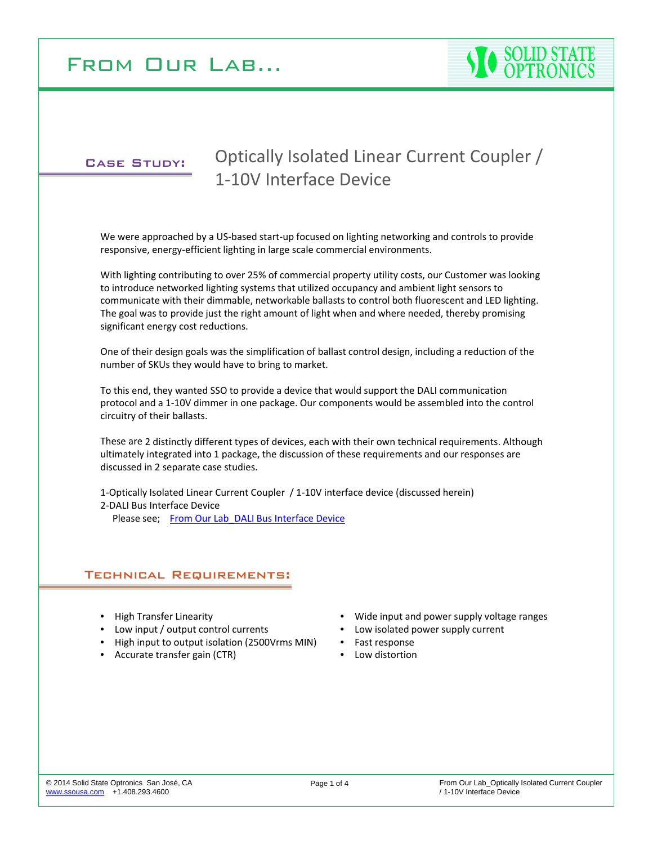

## Case Study:

# Optically Isolated Linear Current Coupler / 1‐10V Interface Device

We were approached by a US-based start-up focused on lighting networking and controls to provide responsive, energy‐efficient lighting in large scale commercial environments.

With lighting contributing to over 25% of commercial property utility costs, our Customer was looking to introduce networked lighting systems that utilized occupancy and ambient light sensors to communicate with their dimmable, networkable ballasts to control both fluorescent and LED lighting. The goal was to provide just the right amount of light when and where needed, thereby promising significant energy cost reductions.

One of their design goals was the simplification of ballast control design, including a reduction of the number of SKUs they would have to bring to market.

To this end, they wanted SSO to provide a device that would support the DALI communication protocol and a 1‐10V dimmer in one package. Our components would be assembled into the control circuitry of their ballasts.

These are 2 distinctly different types of devices, each with their own technical requirements. Although ultimately integrated into 1 package, the discussion of these requirements and our responses are discussed in 2 separate case studies.

1‐Optically Isolated Linear Current Coupler / 1‐10V interface device (discussed herein) 2‐DALI Bus Interface Device

Please see; From Our Lab DALI Bus Interface Device

## Technical Requirements:

- High Transfer Linearity
- Low input / output control currents
- High input to output isolation (2500Vrms MIN)
- Accurate transfer gain (CTR)
- Wide input and power supply voltage ranges
- Low isolated power supply current
- Fast response
- Low distortion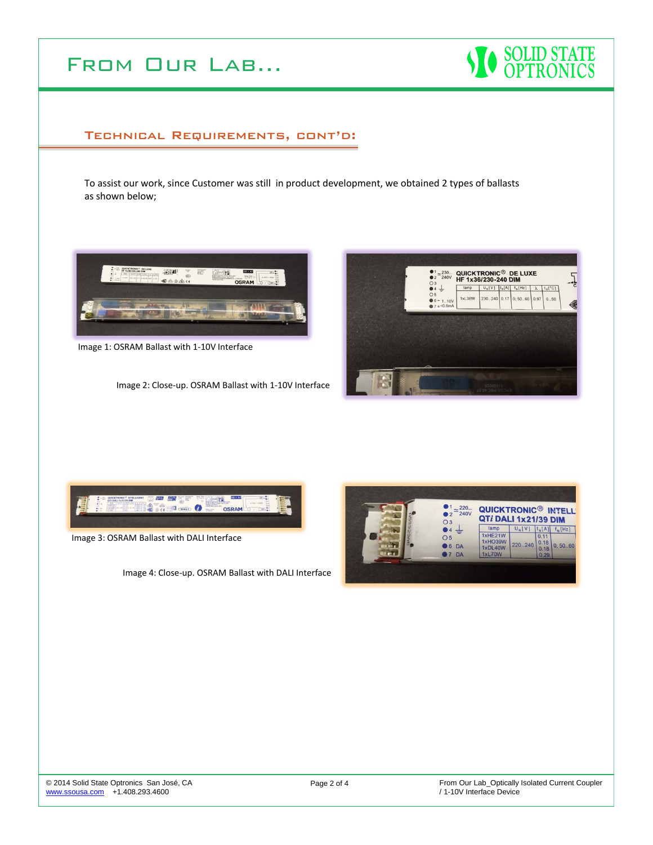



# Technical Requirements, cont'd:

To assist our work, since Customer was still in product development, we obtained 2 types of ballasts as shown below;



Image 1: OSRAM Ballast with 1‐10V Interface

Image 2: Close‐up. OSRAM Ballast with 1‐10V Interface





Image 3: OSRAM Ballast with DALI Interface

Image 4: Close‐up. OSRAM Ballast with DALI Interface

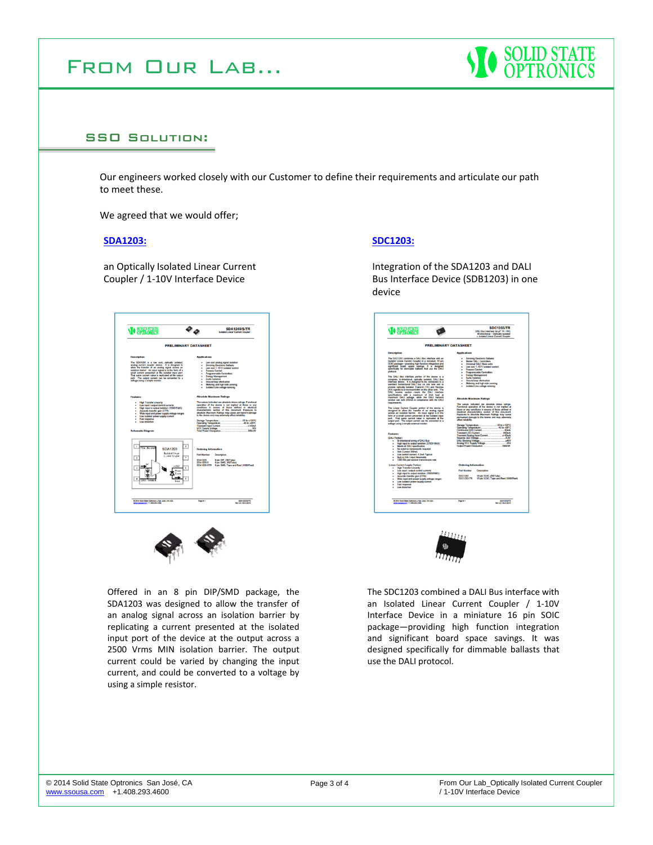

### SSO Solution:

Our engineers worked closely with our Customer to define their requirements and articulate our path to meet these.

We agreed that we would offer;

#### **SDA1203:**

an Optically Isolated Linear Current Coupler / 1‐10V Interface Device

| <b>SOLID STATE</b>                                                                                                                                                                                                                                                                                                                                                                                                  | <b>SDA1203/S/TR</b><br>Isolated Linear Current Coupler                                                                                                                                                                                                                                                                                                                                                                                                                                                                                                                        |
|---------------------------------------------------------------------------------------------------------------------------------------------------------------------------------------------------------------------------------------------------------------------------------------------------------------------------------------------------------------------------------------------------------------------|-------------------------------------------------------------------------------------------------------------------------------------------------------------------------------------------------------------------------------------------------------------------------------------------------------------------------------------------------------------------------------------------------------------------------------------------------------------------------------------------------------------------------------------------------------------------------------|
| <b>PRELIMINARY DATASHEET</b>                                                                                                                                                                                                                                                                                                                                                                                        |                                                                                                                                                                                                                                                                                                                                                                                                                                                                                                                                                                               |
| <b>Description</b>                                                                                                                                                                                                                                                                                                                                                                                                  | <b>Applications</b>                                                                                                                                                                                                                                                                                                                                                                                                                                                                                                                                                           |
| The SDA1203 is a low cost, optically isolated,<br>analog current coupler device. It is designed to<br>alow the transfer of an analog signal across an<br>isolation barrier. An input signal is in the form of a<br>small current presented at the isolated input port.<br>That same current value is replicated at the output<br>port. The output current can be converted to a<br>voltage using a simple resistor. | Low cost analog signal isolation<br>Dimming Electronic Ballasts<br>Low cost 1-10 V isolated control<br>٠<br><b>Process Control</b><br>٠<br><b>Programmable Controllers</b><br>٠<br><b>Energy Management</b><br>٠<br>Audio Isolation<br>٠<br>Ground loop elimination<br>٠<br>Metering and high side sensing<br>٠<br><b>Isolated Line voltage sensing</b>                                                                                                                                                                                                                       |
| <b>Features</b>                                                                                                                                                                                                                                                                                                                                                                                                     | <b>Absolute Maximum Ratings</b>                                                                                                                                                                                                                                                                                                                                                                                                                                                                                                                                               |
| <b>High Transfer Linearity</b><br>Low input / output control currents<br>High input to output isolation (1500VRMS)<br>Accurate transfer gain (CTR)<br>٠<br>Wide input and power supply voltage ranges<br>٠<br>Low isolated power supply current<br>٠<br>Fast response<br>Low distortion<br><b>Schematic Diagram</b>                                                                                                 | The values indicated are absolute stress ratings. Functional<br>operation of the device is not implied at these or any<br>conditions in excess of those defined in electrical<br>characteristics section of this document. Exposure to<br>absolute Maximum Ratings may cause permanent damage<br>to the device and may adversely affect reliability.<br>Storage Temperature<br>$-55$ to +125°C<br>Operating Temperature<br>40 to +85°C<br><b>Transjerd Input Current</b><br>al-AllenA<br><b>VCC Supply Voltage</b><br>38V<br><b>NODersW</b><br><b>Total Power Dissipation</b> |
| $\overline{\mathbf{z}}$<br>ï<br>Web - No alle<br><b>SDA1203</b><br><b>Basical Lincor</b><br>C. nevil Couple*<br>2<br>7<br><b>COD</b><br>ä<br>é<br>Photo<br><b>Doos</b><br>ä<br>×<br><b>Loug</b>                                                                                                                                                                                                                     | <b>Ordering Information</b><br><b>Part Number</b><br><b>Description</b><br><b>SDA1203</b><br>8 pin DIP. (50 Tube)<br><b>SDA1203-S</b><br>8 pin SMD, (50/Tube)<br>SDA1203-STR<br>8 pin SMD. Tape and Reel (1000/Reel)                                                                                                                                                                                                                                                                                                                                                          |
| @ 2014 Solid State Optionizy + San José, CA USA                                                                                                                                                                                                                                                                                                                                                                     | Page # 1<br><b>BOASTOMATH</b>                                                                                                                                                                                                                                                                                                                                                                                                                                                                                                                                                 |



Offered in an 8 pin DIP/SMD package, the SDA1203 was designed to allow the transfer of an analog signal across an isolation barrier by replicating a current presented at the isolated input port of the device at the output across a 2500 Vrms MIN isolation barrier. The output current could be varied by changing the input current, and could be converted to a voltage by using a simple resistor.

#### **SDC1203:**

Integration of the SDA1203 and DALI Bus Interface Device (SDB1203) in one device





The SDC1203 combined a DALI Bus interface with an Isolated Linear Current Coupler / 1‐10V Interface Device in a miniature 16 pin SOIC package—providing high function integration and significant board space savings. It was designed specifically for dimmable ballasts that use the DALI protocol.